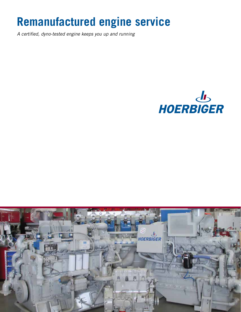# **Remanufactured engine service**

*A certified, dyno-tested engine keeps you up and running*



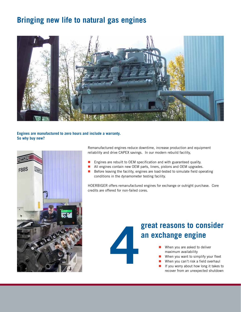### **Bringing new life to natural gas engines**



#### **Engines are manufactured to zero hours and include a warranty. So why buy new?**



Remanufactured engines reduce downtime, increase production and equipment reliability and drive CAPEX savings. In our modern rebuild facility,

- **Engines are rebuilt to OEM specification and with guaranteed quality.**
- All engines contain new OEM parts, liners, pistons and OEM upgrades.
- $\blacksquare$  Before leaving the facility, engines are load-tested to simulate field operating conditions in the dynamometer testing facility.

HOERBIGER offers remanufactured engines for exchange or outright purchase. Core credits are offered for non-failed cores.



### **great reasons to consider an exchange engine**

- When you are asked to deliver maximum availability
- When you want to simplify your fleet
- When you can't risk a field overhaul
- If you worry about how long it takes to recover from an unexpected shutdown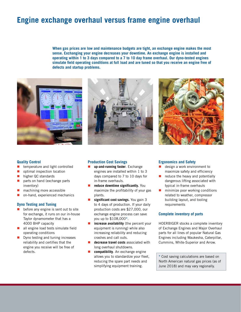### **Engine exchange overhaul versus frame engine overhaul**

**When gas prices are low and maintenance budgets are tight, an exchange engine makes the most sense. Exchanging your engine decreases your downtime. An exchange engine is installed and operating within 1 to 3 days compared to a 7 to 10 day frame overhaul. Our dyno-tested engines simulate field operating conditions at full load and are tuned so that you receive an engine free of defects and startup problems.**







#### **Quality Control**

- **E** temperature and light controlled
- optimal inspection location
- higher QC standards
- parts on hand (exchange parts inventory)
- **n** machining more accessible
- **n** on-hand, experienced mechanics

#### **Dyno Testing and Tuning**

- **before any engine is sent out to site** for exchange, it runs on our in-house Taylor dynamometer that has a 4000 BHP capacity
- $\blacksquare$  all engine load tests simulate field operating conditions
- **Dyno testing and tuning increases** reliability and certifies that the engine you receive will be free of defects.

#### **Production Cost Savings**

- **up-and-running faster**. Exchange engines are installed within 1 to 3 days compared to 7 to 10 days for in-frame overhauls.
- **reduce downtime significantly.** You maximize the profitability of your gas plants.
- **significant cost savings.** You gain 3 to 4 days of production. If your daily production costs are \$27,000, our exchange engine process can save you up to \$108,000**\***.
- **increase availability** (the percent your equipment is running) while also increasing reliability and reducing crashes and call outs.
- **decrease travel costs** associated with long overhaul shutdowns.
- **E** compatibility. An exchange engine allows you to standardize your fleet, reducing the spare part needs and simplifying equipment training.

#### **Ergonomics and Safety**

- design a work environment to maximize safety and efficiency
- $\blacksquare$  reduce the heavy and potentially dangerous lifting associated with typical in-frame overhauls
- **n** minimize poor working conditions related to weather, compressor building layout, and tooling requirements

#### **Complete inventory of parts**

HOERBIGER stocks a complete inventory of Exchange Engines and Major Overhaul parts for all lines of popular Natural Gas Engines including Waukesha, Caterpillar, Cummins, White-Superior and Arrow.

**\*** Cost saving calculations are based on North American natural gas prices (as of June 2018) and may vary regionally.